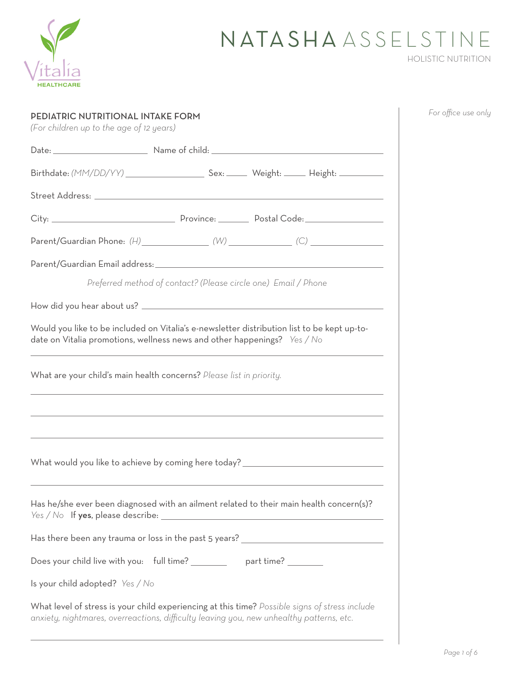

## NATASHA ASSELSTINE HOLISTIC NUTRITION

| PEDIATRIC NUTRITIONAL INTAKE FORM<br>(For children up to the age of 12 years)                                                                                                              | For office use only |
|--------------------------------------------------------------------------------------------------------------------------------------------------------------------------------------------|---------------------|
|                                                                                                                                                                                            |                     |
|                                                                                                                                                                                            |                     |
|                                                                                                                                                                                            |                     |
|                                                                                                                                                                                            |                     |
|                                                                                                                                                                                            |                     |
|                                                                                                                                                                                            |                     |
| Preferred method of contact? (Please circle one) Email / Phone                                                                                                                             |                     |
|                                                                                                                                                                                            |                     |
| Would you like to be included on Vitalia's e-newsletter distribution list to be kept up-to-<br>date on Vitalia promotions, wellness news and other happenings? <i>Yes / No</i>             |                     |
| What are your child's main health concerns? Please list in priority.<br>,我们也不会有什么。""我们的人,我们也不会有什么?""我们的人,我们也不会有什么?""我们的人,我们也不会有什么?""我们的人,我们也不会有什么?""我们的人                                   |                     |
|                                                                                                                                                                                            |                     |
| What would you like to achieve by coming here today? ___________________________                                                                                                           |                     |
| Has he/she ever been diagnosed with an ailment related to their main health concern(s)?                                                                                                    |                     |
| Has there been any trauma or loss in the past 5 years? _________________________                                                                                                           |                     |
| Does your child live with you: full time? __________ part time? ________                                                                                                                   |                     |
| Is your child adopted? Yes / No                                                                                                                                                            |                     |
| What level of stress is your child experiencing at this time? Possible signs of stress include<br>anxiety, nightmares, overreactions, difficulty leaving you, new unhealthy patterns, etc. |                     |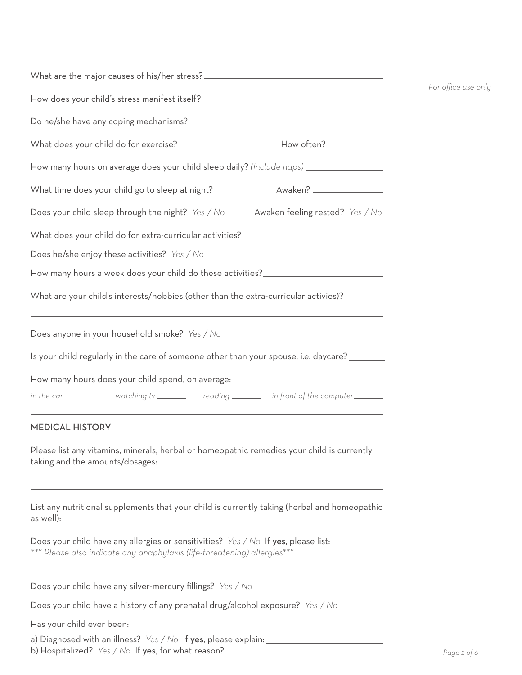| How does your child's stress manifest itself? __________________________________                                                                                                             |
|----------------------------------------------------------------------------------------------------------------------------------------------------------------------------------------------|
|                                                                                                                                                                                              |
|                                                                                                                                                                                              |
| How many hours on average does your child sleep daily? (Include naps) ________________                                                                                                       |
| What time does your child go to sleep at night? _________________ Awaken? __________________________                                                                                         |
| Does your child sleep through the night? Yes / No Awaken feeling rested? Yes / No                                                                                                            |
| What does your child do for extra-curricular activities? _______________________                                                                                                             |
| Does he/she enjoy these activities? Yes / No                                                                                                                                                 |
| How many hours a week does your child do these activities?______________________                                                                                                             |
| What are your child's interests/hobbies (other than the extra-curricular activies)?                                                                                                          |
| Does anyone in your household smoke? Yes / No                                                                                                                                                |
| Is your child regularly in the care of someone other than your spouse, i.e. daycare? _______                                                                                                 |
| How many hours does your child spend, on average:                                                                                                                                            |
| in the car _________ watching tv ________ reading _______ in front of the computer ______                                                                                                    |
| <b>MEDICAL HISTORY</b>                                                                                                                                                                       |
| Please list any vitamins, minerals, herbal or homeopathic remedies your child is currently                                                                                                   |
| List any nutritional supplements that your child is currently taking (herbal and homeopathic                                                                                                 |
| Does your child have any allergies or sensitivities? $\frac{y}{x}$ / $\frac{y}{x}$ of $\frac{y}{x}$ please list:<br>*** Please also indicate any anaphylaxis (life-threatening) allergies*** |
| Does your child have any silver-mercury fillings? Yes / No                                                                                                                                   |
| Does your child have a history of any prenatal drug/alcohol exposure? Yes / No                                                                                                               |
| Has your child ever been:                                                                                                                                                                    |
| a) Diagnosed with an illness? Yes / No If yes, please explain: $\frac{1}{2}$<br>b) Hospitalized? Yes / No If yes, for what reason?                                                           |

*For office use only*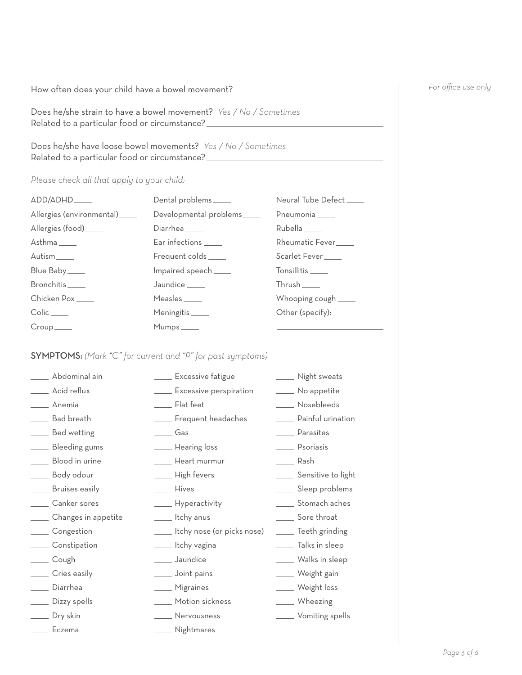How often does your child have a bowel movement? \_\_\_\_\_\_\_\_\_\_\_\_\_\_\_\_\_\_\_\_\_\_\_\_\_\_\_\_\_\_\_

Does he/she strain to have a bowel movement? *Yes / No / Sometimes* Related to a particular food or circumstance?<br>
<u>Letter and the subset of the subset of the subset of the subset of the subset of the subset of the subset of the subset of the subset of the subset of the subset of the subse</u>

Does he/she have loose bowel movements? *Yes / No / Sometimes* Related to a particular food or circumstance?<br>
<u>Letter and the summer summer summer summer</u>

## *Please check all that apply to your child:*

|                               | Dental problems             | Neural Tube Defect             |
|-------------------------------|-----------------------------|--------------------------------|
| Allergies (environmental)____ | Developmental problems      | Pneumonia                      |
| Allergies (food)_____         | Diarrhea <sub>_______</sub> | Rubella                        |
| Asthma _____                  | Ear infections _____        | Rheumatic Fever                |
| Autism____                    | Frequent colds _____        | Scarlet Fever <sub>_____</sub> |
| Blue Baby_____                | Impaired speech____         | Tonsillitis                    |
| Bronchitis                    | Jaundice <sub>______</sub>  | Thrush                         |
| Chicken Pox                   | Measles <sub>______</sub>   | Whooping cough _____           |
| Colic                         | Meningitis <sub>_____</sub> | Other (specify):               |
| Croup                         | Mumps _____                 |                                |

## SYMPTOMS: *(Mark "C" for current and "P" for past symptoms)*

| ___ Abdominal ain         | <b>Excessive fatigue</b>        | ____ Night sweats       |
|---------------------------|---------------------------------|-------------------------|
| Acid reflux               | ____ Excessive perspiration     | ____ No appetite        |
| Anemia                    | ____ Flat feet                  | ____ Nosebleeds         |
| Bad breath                | ____ Frequent headaches         | Dainful urination       |
| Bed wetting               | Gas                             | _____ Parasites         |
| ____ Bleeding gums        | <u>Lasting</u> loss             | _____ Psoriasis         |
| ___ Blood in urine        | ____ Heart murmur               | ____ Rash               |
| ____ Body odour           | ___ High fevers                 | ____ Sensitive to light |
| ____ Bruises easily       | <b>Hives</b>                    | ____ Sleep problems     |
| _____ Canker sores        | - Hyperactivity                 | _____ Stomach aches     |
| _____ Changes in appetite | ____ Itchy anus                 | _____ Sore throat       |
| ____ Congestion           | ____ Itchy nose (or picks nose) | ____ Teeth grinding     |
| _____ Constipation        | ____ Itchy vagina               | ____ Talks in sleep     |
| ____ Cough                | _____ Jaundice                  | ____ Walks in sleep     |
| ____ Cries easily         | ____ Joint pains                | ____ Weight gain        |
| ____ Diarrhea             | ____ Migraines                  | ____ Weight loss        |
| ____ Dizzy spells         | ____ Motion sickness            | ___ Wheezing            |
| __ Dry skin               | <u>Nervousness</u>              | <u>Samiling</u> spells  |
| Eczema                    | ____ Nightmares                 |                         |

## *For office use only*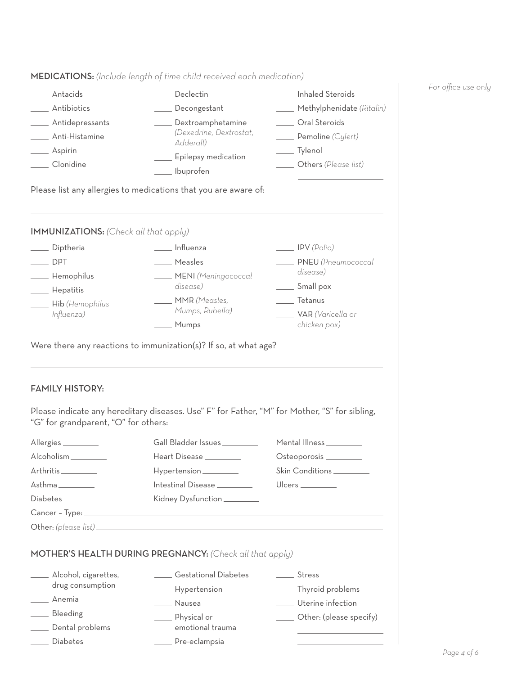|                                                                                                                                                                                                                                                                    | ___ Declectin                                                                                 | ___ Inhaled Steroids                                                           |  |
|--------------------------------------------------------------------------------------------------------------------------------------------------------------------------------------------------------------------------------------------------------------------|-----------------------------------------------------------------------------------------------|--------------------------------------------------------------------------------|--|
| Antibiotics                                                                                                                                                                                                                                                        | Decongestant                                                                                  | Methylphenidate (Ritalin)<br><u>Coral</u> Steroids<br><b>Pemoline</b> (Cylert) |  |
| Antidepressants                                                                                                                                                                                                                                                    | Dextroamphetamine                                                                             |                                                                                |  |
| Anti-Histamine                                                                                                                                                                                                                                                     | (Dexedrine, Dextrostat,<br>Adderall)                                                          |                                                                                |  |
| _____ Aspirin                                                                                                                                                                                                                                                      |                                                                                               | __ Tylenol                                                                     |  |
| ___ Clonidine                                                                                                                                                                                                                                                      | ____ Epilepsy medication<br>___ lbuprofen                                                     | <b>Others</b> (Please list)                                                    |  |
|                                                                                                                                                                                                                                                                    | Please list any allergies to medications that you are aware of:                               |                                                                                |  |
| <b>IMMUNIZATIONS:</b> (Check all that apply)                                                                                                                                                                                                                       |                                                                                               |                                                                                |  |
| ____ Diptheria                                                                                                                                                                                                                                                     | ____ Influenza                                                                                | $\frac{1}{\sqrt{1-\frac{1}{2}}}$ IPV (Polio)                                   |  |
| DPT <sub>1</sub>                                                                                                                                                                                                                                                   | <u>Measles</u>                                                                                | PNEU (Pneumococcal                                                             |  |
| - Hemophilus                                                                                                                                                                                                                                                       | MENI (Meningococcal                                                                           | disease)                                                                       |  |
| _____ Hepatitis                                                                                                                                                                                                                                                    | disease)                                                                                      | Small pox                                                                      |  |
| <b>Hib</b> (Hemophilus                                                                                                                                                                                                                                             | MMR (Measles,                                                                                 | ____ Tetanus                                                                   |  |
| Influenza)                                                                                                                                                                                                                                                         | Mumps, Rubella)                                                                               | VAR (Varicella or                                                              |  |
|                                                                                                                                                                                                                                                                    | Mumps                                                                                         | chicken pox)                                                                   |  |
|                                                                                                                                                                                                                                                                    |                                                                                               |                                                                                |  |
|                                                                                                                                                                                                                                                                    | Please indicate any hereditary diseases. Use" F" for Father, "M" for Mother, "S" for sibling, |                                                                                |  |
|                                                                                                                                                                                                                                                                    | Gall Bladder Issues _________                                                                 | Mental Illness_________                                                        |  |
|                                                                                                                                                                                                                                                                    | Heart Disease _________                                                                       | Osteoporosis _________                                                         |  |
|                                                                                                                                                                                                                                                                    | Hypertension ________                                                                         | Skin Conditions ________                                                       |  |
|                                                                                                                                                                                                                                                                    | Intestinal Disease ________                                                                   |                                                                                |  |
|                                                                                                                                                                                                                                                                    | Kidney Dysfunction                                                                            |                                                                                |  |
|                                                                                                                                                                                                                                                                    |                                                                                               |                                                                                |  |
|                                                                                                                                                                                                                                                                    | Other: (please list)                                                                          |                                                                                |  |
|                                                                                                                                                                                                                                                                    | MOTHER'S HEALTH DURING PREGNANCY: (Check all that apply)                                      |                                                                                |  |
|                                                                                                                                                                                                                                                                    | <b>Sestational Diabetes</b>                                                                   | <b>Stress</b>                                                                  |  |
| drug consumption                                                                                                                                                                                                                                                   | - Hypertension                                                                                | ____ Thyroid problems                                                          |  |
|                                                                                                                                                                                                                                                                    | ____ Nausea                                                                                   | Uterine infection                                                              |  |
|                                                                                                                                                                                                                                                                    | Physical or                                                                                   | ____ Other: (please specify)                                                   |  |
| <b>FAMILY HISTORY:</b><br>"G" for grandparent, "O" for others:<br>Allergies<br>Alcoholism __________<br>Arthritis<br>$A$ sthma $\_\_\_\_\_\_\_\_\_\_\_$<br>$Diabetes$ $\qquad \qquad$<br>Alcohol, cigarettes,<br>Anemia<br>Bleeding<br>Dental problems<br>Diabetes | emotional trauma<br>____ Pre-eclampsia                                                        |                                                                                |  |

MEDICATIONS: *(Include length of time child received each medication)*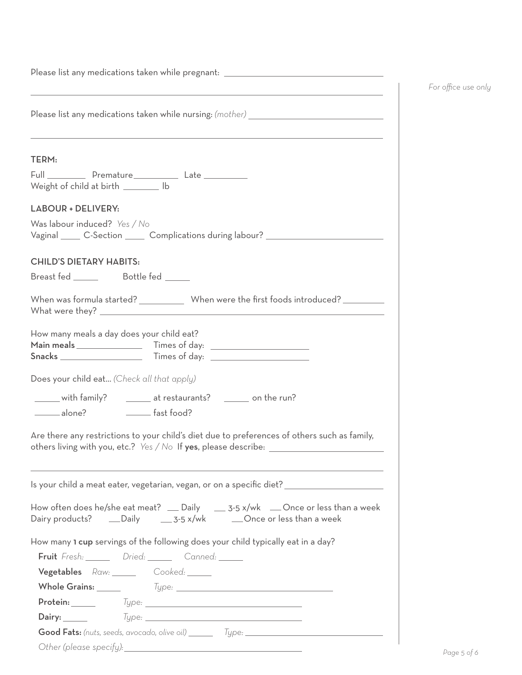| Please list any medications taken while pregnant: ______________________________<br><u> 1989 - Johann Stein, marwolaethau a bhann an t-Amhain an t-Amhain an t-Amhain an t-Amhain an t-Amhain an t-A</u> |
|----------------------------------------------------------------------------------------------------------------------------------------------------------------------------------------------------------|
| Please list any medications taken while nursing: (mother) _______________________                                                                                                                        |
| TERM:                                                                                                                                                                                                    |
| Full Premature Late Late<br>Weight of child at birth ________ lb                                                                                                                                         |
| LABOUR + DELIVERY:                                                                                                                                                                                       |
| Was labour induced? Yes / No<br>Vaginal C-Section Complications during labour?                                                                                                                           |
| <b>CHILD'S DIETARY HABITS:</b>                                                                                                                                                                           |
| Breast fed ________ Bottle fed _____                                                                                                                                                                     |
| When was formula started? _____________ When were the first foods introduced? _________                                                                                                                  |
| How many meals a day does your child eat?                                                                                                                                                                |
| Does your child eat (Check all that apply)                                                                                                                                                               |
| ______ with family? ________ at restaurants? ________ on the run?                                                                                                                                        |
| alone? Fast food?                                                                                                                                                                                        |
| Are there any restrictions to your child's diet due to preferences of others such as family,<br>others living with you, etc.? Yes / No If yes, please describe: ________________                         |
| Is your child a meat eater, vegetarian, vegan, or on a specific diet? _________________                                                                                                                  |
| How often does he/she eat meat? __ Daily ____ 3-5 x/wk __Once or less than a week<br>Dairy products? ____Daily _____________________________Once or less than a week                                     |
| How many 1 cup servings of the following does your child typically eat in a day?                                                                                                                         |
| Fruit Fresh: Dried: Canned: Canned:                                                                                                                                                                      |
| Vegetables Raw: Cooked:                                                                                                                                                                                  |
|                                                                                                                                                                                                          |
| Protein: _____                                                                                                                                                                                           |
|                                                                                                                                                                                                          |
|                                                                                                                                                                                                          |
|                                                                                                                                                                                                          |

*For office use only*